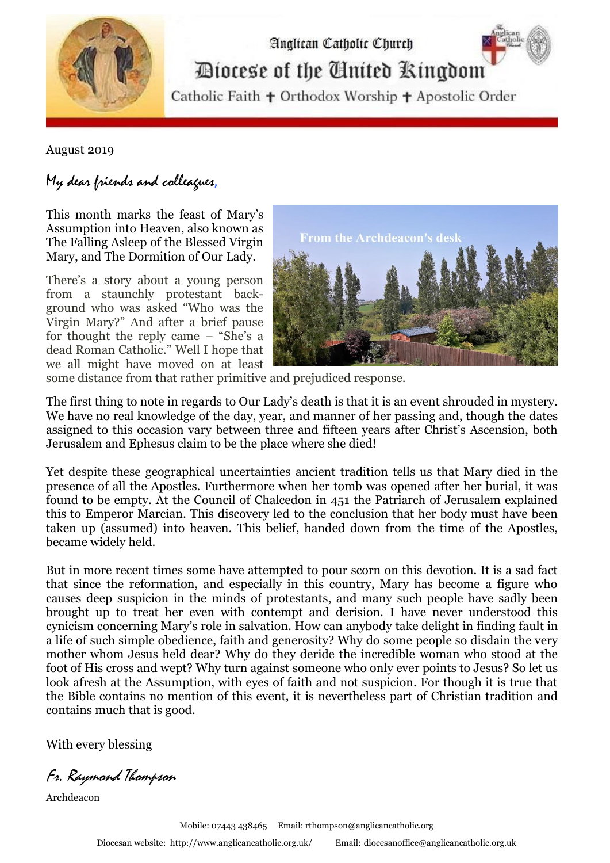

Analican Catholic Church

Diocese of the Cinited Ringdom

Catholic Faith + Orthodox Worship + Apostolic Order

August 2019

## My dear friends and colleagues,

This month marks the feast of Mary's Assumption into Heaven, also known as The Falling Asleep of the Blessed Virgin Mary, and The Dormition of Our Lady.

There's a story about a young person from a staunchly protestant background who was asked "Who was the Virgin Mary?" And after a brief pause for thought the reply came – "She's a dead Roman Catholic." Well I hope that we all might have moved on at least



some distance from that rather primitive and prejudiced response.

The first thing to note in regards to Our Lady's death is that it is an event shrouded in mystery. We have no real knowledge of the day, year, and manner of her passing and, though the dates assigned to this occasion vary between three and fifteen years after Christ's Ascension, both Jerusalem and Ephesus claim to be the place where she died!

Yet despite these geographical uncertainties ancient tradition tells us that Mary died in the presence of all the Apostles. Furthermore when her tomb was opened after her burial, it was found to be empty. At the Council of Chalcedon in 451 the Patriarch of Jerusalem explained this to Emperor Marcian. This discovery led to the conclusion that her body must have been taken up (assumed) into heaven. This belief, handed down from the time of the Apostles, became widely held.

But in more recent times some have attempted to pour scorn on this devotion. It is a sad fact that since the reformation, and especially in this country, Mary has become a figure who causes deep suspicion in the minds of protestants, and many such people have sadly been brought up to treat her even with contempt and derision. I have never understood this cynicism concerning Mary's role in salvation. How can anybody take delight in finding fault in a life of such simple obedience, faith and generosity? Why do some people so disdain the very mother whom Jesus held dear? Why do they deride the incredible woman who stood at the foot of His cross and wept? Why turn against someone who only ever points to Jesus? So let us look afresh at the Assumption, with eyes of faith and not suspicion. For though it is true that the Bible contains no mention of this event, it is nevertheless part of Christian tradition and contains much that is good.

With every blessing

Fr. Raymond Thompson

Archdeacon